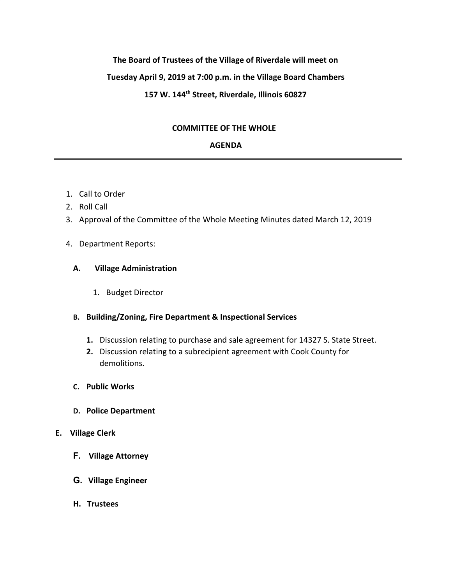# **The Board of Trustees of the Village of Riverdale will meet on Tuesday April 9, 2019 at 7:00 p.m. in the Village Board Chambers 157 W. 144th Street, Riverdale, Illinois 60827**

# **COMMITTEE OF THE WHOLE**

# **AGENDA**

- 1. Call to Order
- 2. Roll Call
- 3. Approval of the Committee of the Whole Meeting Minutes dated March 12, 2019
- 4. Department Reports:

## **A. Village Administration**

1. Budget Director

# **B. Building/Zoning, Fire Department & Inspectional Services**

- **1.** Discussion relating to purchase and sale agreement for 14327 S. State Street.
- **2.** Discussion relating to a subrecipient agreement with Cook County for demolitions.
- **C. Public Works**
- **D. Police Department**

#### **E. Village Clerk**

- **F. Village Attorney**
- **G. Village Engineer**
- **H. Trustees**